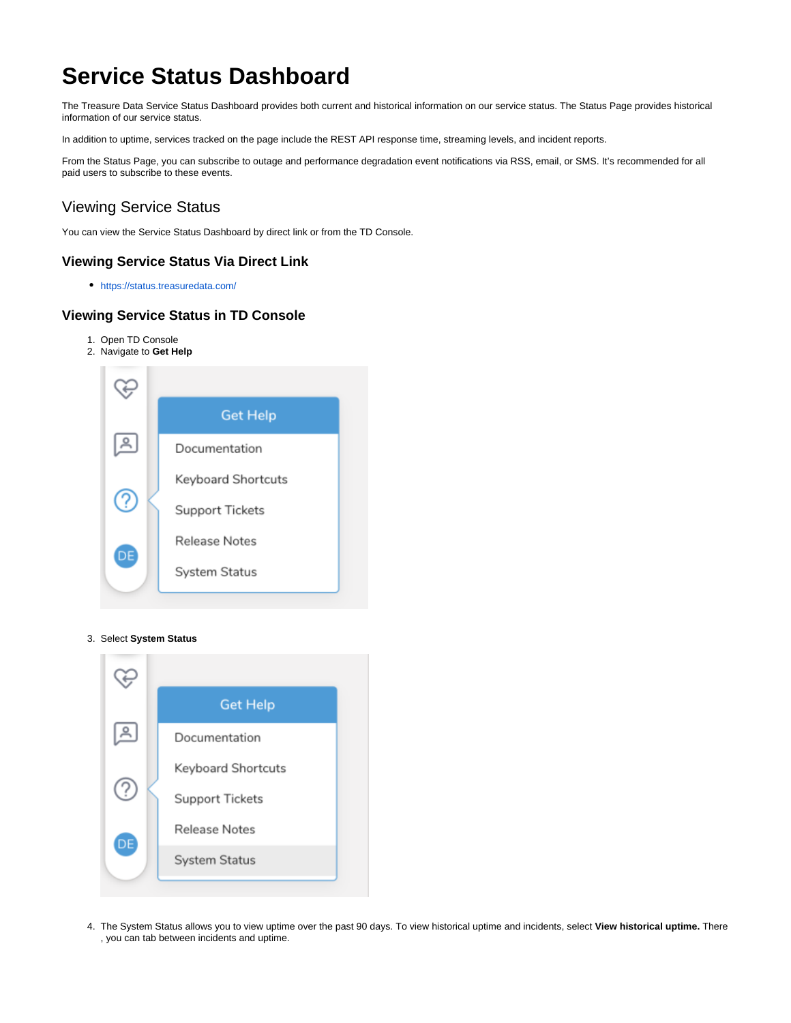# **Service Status Dashboard**

The Treasure Data Service Status Dashboard provides both current and historical information on our service status. The Status Page provides historical information of our service status.

In addition to uptime, services tracked on the page include the REST API response time, streaming levels, and incident reports.

From the Status Page, you can subscribe to outage and performance degradation event notifications via RSS, email, or SMS. It's recommended for all paid users to subscribe to these events.

# Viewing Service Status

You can view the Service Status Dashboard by direct link or from the TD Console.

#### **Viewing Service Status Via Direct Link**

<https://status.treasuredata.com/>

### **Viewing Service Status in TD Console**

- 1. Open TD Console
- 2. Navigate to **Get Help**



#### 3. Select **System Status**



4. The System Status allows you to view uptime over the past 90 days. To view historical uptime and incidents, select **View historical uptime.** There , you can tab between incidents and uptime.